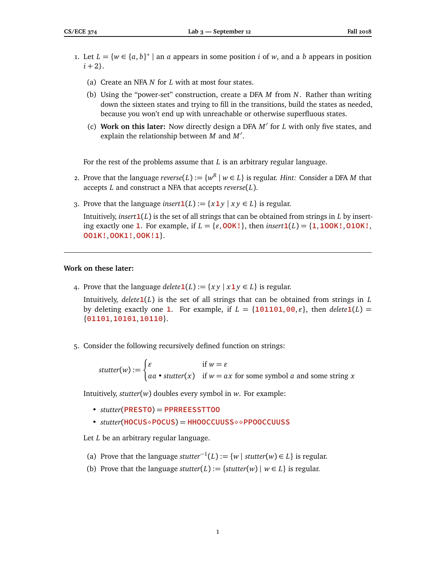- 1. Let  $L = \{w \in \{a, b\}^* \mid \text{an } a \text{ appears in some position } i \text{ of } w, \text{ and a } b \text{ appears in position } i \text{ is a constant.}\}$  $i + 2$ .
	- (a) Create an NFA *N* for *L* with at most four states.
	- (b) Using the "power-set" construction, create a DFA *M* from *N*. Rather than writing down the sixteen states and trying to fill in the transitions, build the states as needed, because you won't end up with unreachable or otherwise superfluous states.
	- (c) Work on this later: Now directly design a DFA  $M'$  for *L* with only five states, and explain the relationship between  $M$  and  $M'$ .

For the rest of the problems assume that *L* is an arbitrary regular language.

- 2. Prove that the language  $reverse(L):=\{w^R\mid w\in L\}$  is regular. *Hint:* Consider a DFA  $M$  that accepts *L* and construct a NFA that accepts *reverse*(*L*).
- 3. Prove that the language *insert*  $\mathbf{1}(L) := \{x \mathbf{1} y \mid x y \in L\}$  is regular.

Intuitively, *insert***1**(*L*) is the set of all strings that can be obtained from strings in *L* by inserting exactly one **1**. For example, if  $L = \{\varepsilon, \textbf{00K}!\}$ , then *insert***1**(*L*) =  $\{\textbf{1}, \textbf{100K}!\}$ , **010K!**, **OO1K!**,**OOK1!**,**OOK!1**}.

## **Work on these later:**

4. Prove that the language *delete*  $\mathbf{1}(L) := \{ xy \mid x \mathbf{1} y \in L \}$  is regular.

Intuitively,  $delete1(L)$  is the set of all strings that can be obtained from strings in  $L$ by deleting exactly one **1**. For example, if  $L = \{101101, 00, \varepsilon\}$ , then *delete***1**(*L*) = {**01101**,**10101**,**10110**}.

5. Consider the following recursively defined function on strings:

*stutter*(*w*) :=  $\int \mathcal{E}$  if  $w = \mathcal{E}$ *aa* • *stutter*(*x*) if *w* = *ax* for some symbol *a* and some string *x*

Intuitively, *stutter*(*w*) doubles every symbol in *w*. For example:

- *stutter*(**PRESTO**) = **PPRREESSTTOO**
- *stutter*(**HOCUSPOCUS**) = **HHOOCCUUSS PPOOCCUUSS**

Let *L* be an arbitrary regular language.

- (a) Prove that the language *stutter*<sup>-1</sup>(*L*) := {*w* | *stutter*(*w*) ∈ *L*} is regular.
- (b) Prove that the language *stutter*(*L*) := {*stutter*(*w*) |  $w \in L$ } is regular.